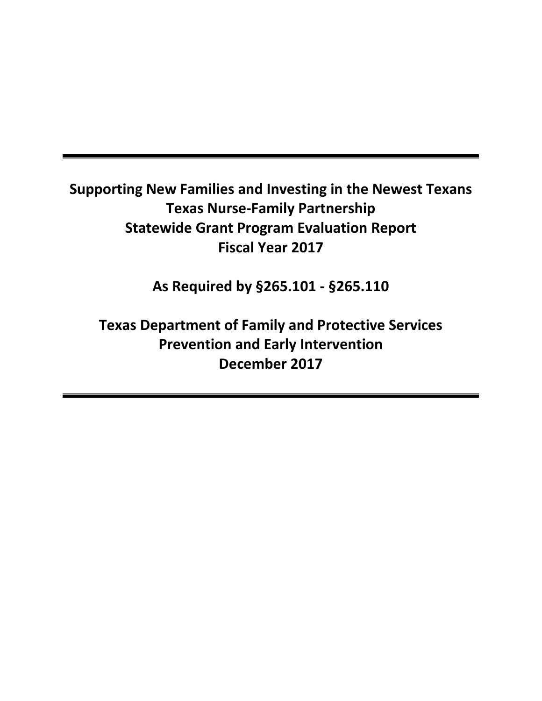# **Supporting New Families and Investing in the Newest Texans Texas Nurse-Family Partnership Statewide Grant Program Evaluation Report Fiscal Year 2017**

**As Required by §265.101 - §265.110**

**Texas Department of Family and Protective Services Prevention and Early Intervention December 2017**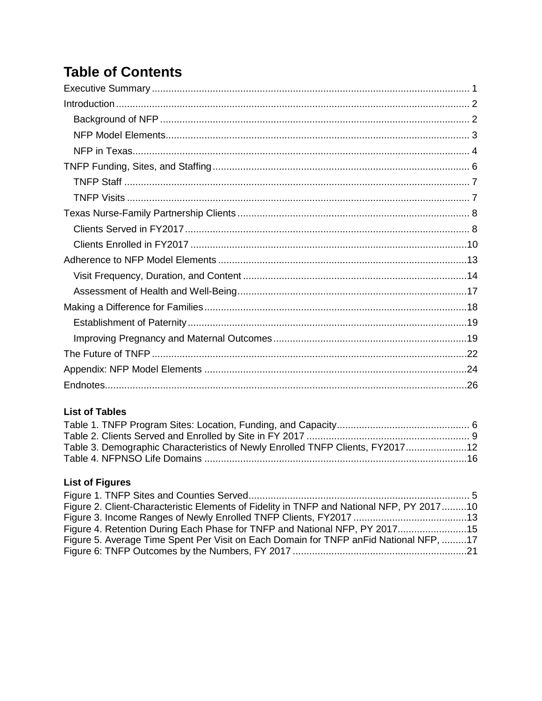# **Table of Contents**

### **List of Tables**

| Table 3. Demographic Characteristics of Newly Enrolled TNFP Clients, FY201712 |  |
|-------------------------------------------------------------------------------|--|
|                                                                               |  |
|                                                                               |  |

## **List of Figures**

| Figure 2. Client-Characteristic Elements of Fidelity in TNFP and National NFP, PY 201710 |  |
|------------------------------------------------------------------------------------------|--|
|                                                                                          |  |
| Figure 4. Retention During Each Phase for TNFP and National NFP, PY 201715               |  |
| Figure 5. Average Time Spent Per Visit on Each Domain for TNFP an Fid National NFP, 17   |  |
|                                                                                          |  |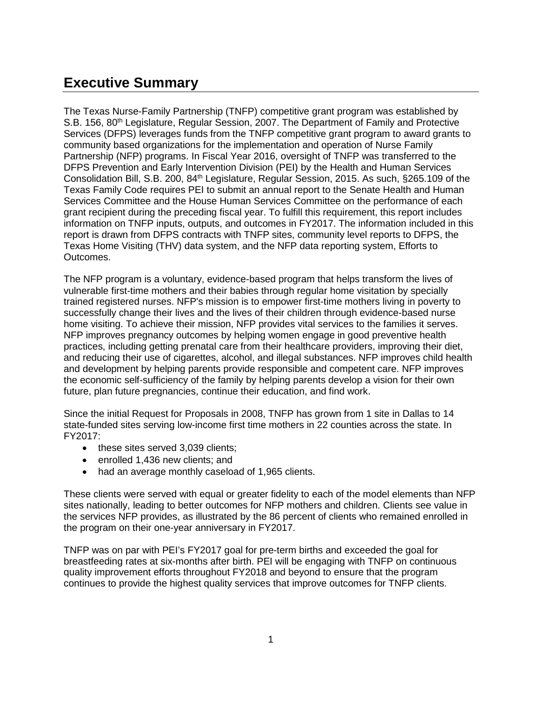## <span id="page-2-0"></span>**Executive Summary**

The Texas Nurse-Family Partnership (TNFP) competitive grant program was established by S.B. 156, 80<sup>th</sup> Legislature, Regular Session, 2007. The Department of Family and Protective Services (DFPS) leverages funds from the TNFP competitive grant program to award grants to community based organizations for the implementation and operation of Nurse Family Partnership (NFP) programs. In Fiscal Year 2016, oversight of TNFP was transferred to the DFPS Prevention and Early Intervention Division (PEI) by the Health and Human Services Consolidation Bill, S.B. 200, 84<sup>th</sup> Legislature, Regular Session, 2015. As such, §265.109 of the Texas Family Code requires PEI to submit an annual report to the Senate Health and Human Services Committee and the House Human Services Committee on the performance of each grant recipient during the preceding fiscal year. To fulfill this requirement, this report includes information on TNFP inputs, outputs, and outcomes in FY2017. The information included in this report is drawn from DFPS contracts with TNFP sites, community level reports to DFPS, the Texas Home Visiting (THV) data system, and the NFP data reporting system, Efforts to Outcomes.

The NFP program is a voluntary, evidence-based program that helps transform the lives of vulnerable first-time mothers and their babies through regular home visitation by specially trained registered nurses. NFP's mission is to empower first-time mothers living in poverty to successfully change their lives and the lives of their children through evidence-based nurse home visiting. To achieve their mission, NFP provides vital services to the families it serves. NFP improves pregnancy outcomes by helping women engage in good preventive health practices, including getting prenatal care from their healthcare providers, improving their diet, and reducing their use of cigarettes, alcohol, and illegal substances. NFP improves child health and development by helping parents provide responsible and competent care. NFP improves the economic self-sufficiency of the family by helping parents develop a vision for their own future, plan future pregnancies, continue their education, and find work.

Since the initial Request for Proposals in 2008, TNFP has grown from 1 site in Dallas to 14 state-funded sites serving low-income first time mothers in 22 counties across the state. In FY2017:

- these sites served 3,039 clients;
- enrolled 1,436 new clients; and
- had an average monthly caseload of 1,965 clients.

These clients were served with equal or greater fidelity to each of the model elements than NFP sites nationally, leading to better outcomes for NFP mothers and children. Clients see value in the services NFP provides, as illustrated by the 86 percent of clients who remained enrolled in the program on their one-year anniversary in FY2017.

TNFP was on par with PEI's FY2017 goal for pre-term births and exceeded the goal for breastfeeding rates at six-months after birth. PEI will be engaging with TNFP on continuous quality improvement efforts throughout FY2018 and beyond to ensure that the program continues to provide the highest quality services that improve outcomes for TNFP clients.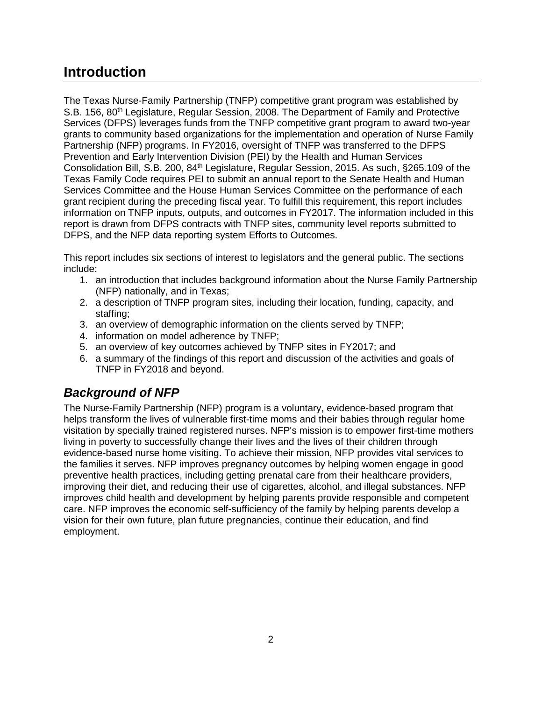## <span id="page-3-0"></span>**Introduction**

The Texas Nurse-Family Partnership (TNFP) competitive grant program was established by S.B. 156, 80<sup>th</sup> Legislature, Regular Session, 2008. The Department of Family and Protective Services (DFPS) leverages funds from the TNFP competitive grant program to award two-year grants to community based organizations for the implementation and operation of Nurse Family Partnership (NFP) programs. In FY2016, oversight of TNFP was transferred to the DFPS Prevention and Early Intervention Division (PEI) by the Health and Human Services Consolidation Bill, S.B. 200, 84<sup>th</sup> Legislature, Regular Session, 2015. As such, §265.109 of the Texas Family Code requires PEI to submit an annual report to the Senate Health and Human Services Committee and the House Human Services Committee on the performance of each grant recipient during the preceding fiscal year. To fulfill this requirement, this report includes information on TNFP inputs, outputs, and outcomes in FY2017. The information included in this report is drawn from DFPS contracts with TNFP sites, community level reports submitted to DFPS, and the NFP data reporting system Efforts to Outcomes.

This report includes six sections of interest to legislators and the general public. The sections include:

- 1. an introduction that includes background information about the Nurse Family Partnership (NFP) nationally, and in Texas;
- 2. a description of TNFP program sites, including their location, funding, capacity, and staffing;
- 3. an overview of demographic information on the clients served by TNFP;
- 4. information on model adherence by TNFP;
- 5. an overview of key outcomes achieved by TNFP sites in FY2017; and
- 6. a summary of the findings of this report and discussion of the activities and goals of TNFP in FY2018 and beyond.

## <span id="page-3-1"></span>*Background of NFP*

The Nurse-Family Partnership (NFP) program is a voluntary, evidence-based program that helps transform the lives of vulnerable first-time moms and their babies through regular home visitation by specially trained registered nurses. NFP's mission is to empower first-time mothers living in poverty to successfully change their lives and the lives of their children through evidence-based nurse home visiting. To achieve their mission, NFP provides vital services to the families it serves. NFP improves pregnancy outcomes by helping women engage in good preventive health practices, including getting prenatal care from their healthcare providers, improving their diet, and reducing their use of cigarettes, alcohol, and illegal substances. NFP improves child health and development by helping parents provide responsible and competent care. NFP improves the economic self-sufficiency of the family by helping parents develop a vision for their own future, plan future pregnancies, continue their education, and find employment.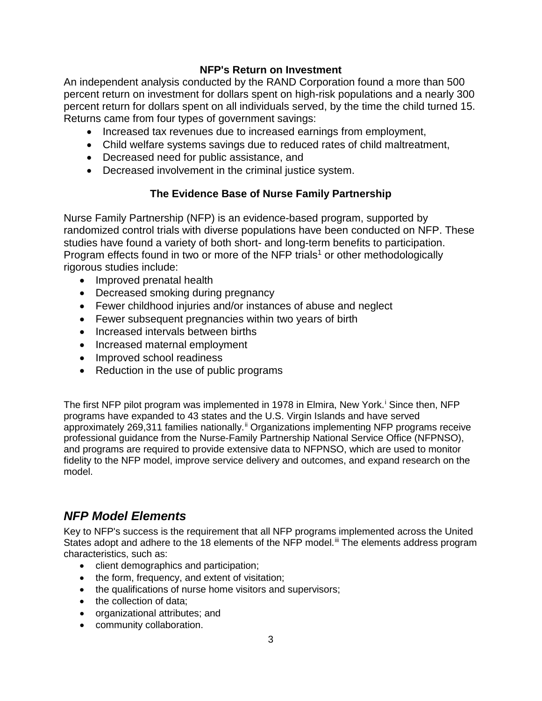### **NFP's Return on Investment**

An independent analysis conducted by the RAND Corporation found a more than 500 percent return on investment for dollars spent on high-risk populations and a nearly 300 percent return for dollars spent on all individuals served, by the time the child turned 15. Returns came from four types of government savings:

- Increased tax revenues due to increased earnings from employment,
- Child welfare systems savings due to reduced rates of child maltreatment,
- Decreased need for public assistance, and
- Decreased involvement in the criminal justice system.

### **The Evidence Base of Nurse Family Partnership**

Nurse Family Partnership (NFP) is an evidence-based program, supported by randomized control trials with diverse populations have been conducted on NFP. These studies have found a variety of both short- and long-term benefits to participation. Program effects found in two or more of the NFP trials<sup>1</sup> or other methodologically rigorous studies include:

- Improved prenatal health
- Decreased smoking during pregnancy
- Fewer childhood injuries and/or instances of abuse and neglect
- Fewer subsequent pregnancies within two years of birth
- Increased intervals between births
- Increased maternal employment
- Improved school readiness
- Reduction in the use of public programs

The f[i](#page-27-1)rst NFP pilot program was implemented in 1978 in Elmira, New York.<sup>i</sup> Since then, NFP programs have expanded to 43 states and the U.S. Virgin Islands and have served approximately 269,311 families nationally.<sup>[ii](#page-27-2)</sup> Organizations implementing NFP programs receive professional guidance from the Nurse-Family Partnership National Service Office (NFPNSO), and programs are required to provide extensive data to NFPNSO, which are used to monitor fidelity to the NFP model, improve service delivery and outcomes, and expand research on the model.

### <span id="page-4-0"></span>*NFP Model Elements*

Key to NFP's success is the requirement that all NFP programs implemented across the United States adopt and adhere to the 18 elements of the NFP model.<sup>[iii](#page-27-3)</sup> The elements address program characteristics, such as:

- client demographics and participation;
- the form, frequency, and extent of visitation;
- the qualifications of nurse home visitors and supervisors;
- the collection of data:
- organizational attributes; and
- community collaboration.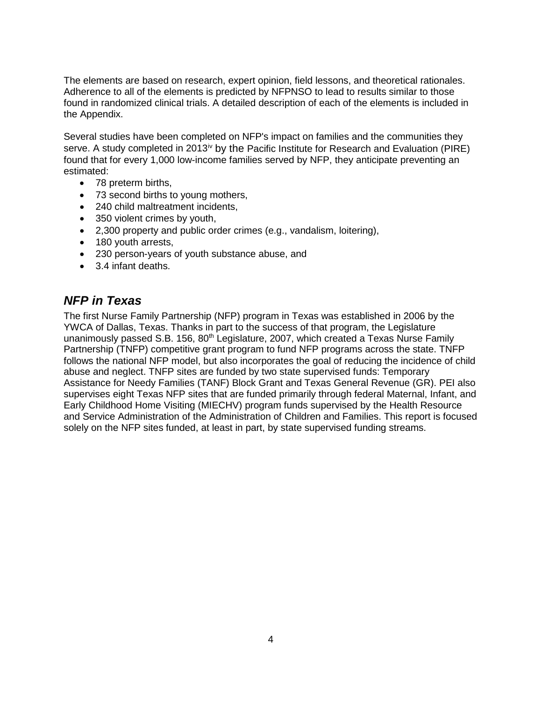The elements are based on research, expert opinion, field lessons, and theoretical rationales. Adherence to all of the elements is predicted by NFPNSO to lead to results similar to those found in randomized clinical trials. A detailed description of each of the elements is included in the Appendix.

Several studies have been completed on NFP's impact on families and the communities they serve. A study completed in 2013<sup>[iv](#page-27-4)</sup> by the Pacific Institute for Research and Evaluation (PIRE) found that for every 1,000 low-income families served by NFP, they anticipate preventing an estimated:

- 78 preterm births,
- 73 second births to young mothers,
- 240 child maltreatment incidents,
- 350 violent crimes by youth,
- 2,300 property and public order crimes (e.g., vandalism, loitering),
- 180 youth arrests,
- 230 person-years of youth substance abuse, and
- 3.4 infant deaths.

### <span id="page-5-0"></span>*NFP in Texas*

The first Nurse Family Partnership (NFP) program in Texas was established in 2006 by the YWCA of Dallas, Texas. Thanks in part to the success of that program, the Legislature unanimously passed S.B. 156, 80<sup>th</sup> Legislature, 2007, which created a Texas Nurse Family Partnership (TNFP) competitive grant program to fund NFP programs across the state. TNFP follows the national NFP model, but also incorporates the goal of reducing the incidence of child abuse and neglect. TNFP sites are funded by two state supervised funds: Temporary Assistance for Needy Families (TANF) Block Grant and Texas General Revenue (GR). PEI also supervises eight Texas NFP sites that are funded primarily through federal Maternal, Infant, and Early Childhood Home Visiting (MIECHV) program funds supervised by the Health Resource and Service Administration of the Administration of Children and Families. This report is focused solely on the NFP sites funded, at least in part, by state supervised funding streams.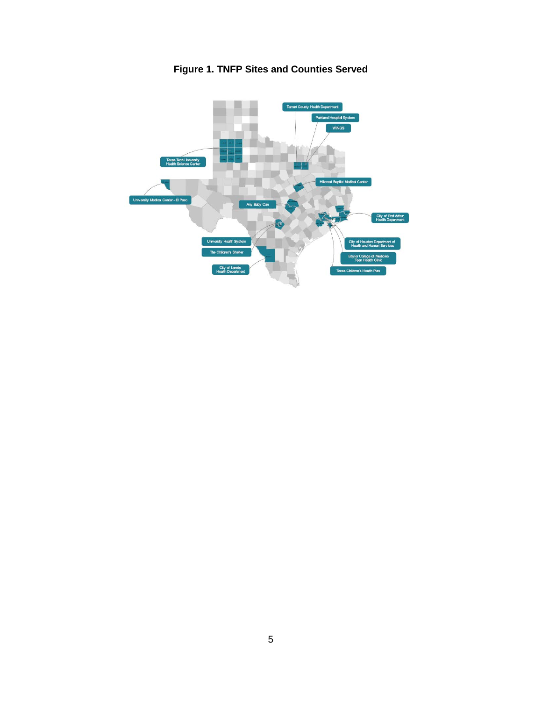<span id="page-6-0"></span>

**Figure 1. TNFP Sites and Counties Served**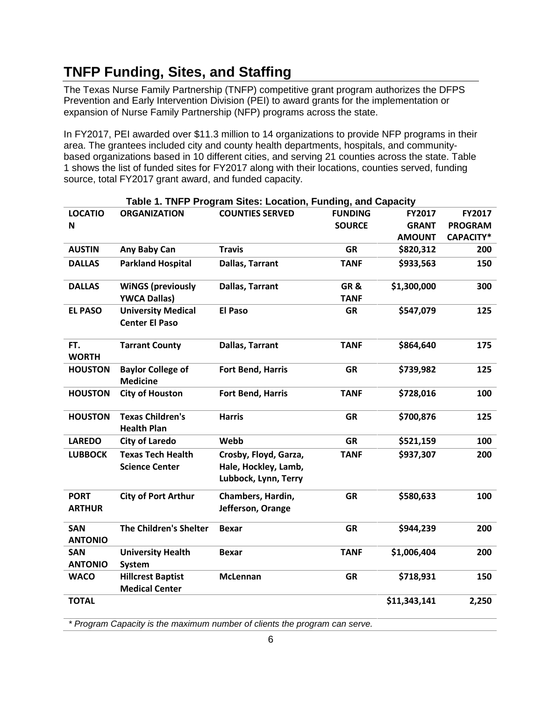# <span id="page-7-0"></span>**TNFP Funding, Sites, and Staffing**

The Texas Nurse Family Partnership (TNFP) competitive grant program authorizes the DFPS Prevention and Early Intervention Division (PEI) to award grants for the implementation or expansion of Nurse Family Partnership (NFP) programs across the state.

In FY2017, PEI awarded over \$11.3 million to 14 organizations to provide NFP programs in their area. The grantees included city and county health departments, hospitals, and communitybased organizations based in 10 different cities, and serving 21 counties across the state. Table 1 shows the list of funded sites for FY2017 along with their locations, counties served, funding source, total FY2017 grant award, and funded capacity.

<span id="page-7-1"></span>

|                              |                                                    | Table 1. TNFP Program Sites: Location, Funding, and Capacity          |                    |               |                |
|------------------------------|----------------------------------------------------|-----------------------------------------------------------------------|--------------------|---------------|----------------|
| <b>LOCATIO</b>               | <b>ORGANIZATION</b>                                | <b>COUNTIES SERVED</b>                                                | <b>FUNDING</b>     | FY2017        | FY2017         |
| N                            |                                                    |                                                                       | <b>SOURCE</b>      | <b>GRANT</b>  | <b>PROGRAM</b> |
|                              |                                                    |                                                                       |                    | <b>AMOUNT</b> | CAPACITY*      |
| <b>AUSTIN</b>                | Any Baby Can                                       | <b>Travis</b>                                                         | <b>GR</b>          | \$820,312     | 200            |
| <b>DALLAS</b>                | <b>Parkland Hospital</b>                           | <b>Dallas, Tarrant</b>                                                | <b>TANF</b>        | \$933,563     | 150            |
| <b>DALLAS</b>                | <b>WINGS (previously</b><br><b>YWCA Dallas)</b>    | Dallas, Tarrant                                                       | GR&<br><b>TANF</b> | \$1,300,000   | 300            |
| <b>EL PASO</b>               | <b>University Medical</b><br><b>Center El Paso</b> | <b>El Paso</b>                                                        | <b>GR</b>          | \$547,079     | 125            |
| FT.<br><b>WORTH</b>          | <b>Tarrant County</b>                              | <b>Dallas, Tarrant</b>                                                | <b>TANF</b>        | \$864,640     | 175            |
| <b>HOUSTON</b>               | <b>Baylor College of</b><br><b>Medicine</b>        | Fort Bend, Harris                                                     | <b>GR</b>          | \$739,982     | 125            |
| <b>HOUSTON</b>               | <b>City of Houston</b>                             | Fort Bend, Harris                                                     | <b>TANF</b>        | \$728,016     | 100            |
| <b>HOUSTON</b>               | <b>Texas Children's</b><br><b>Health Plan</b>      | <b>Harris</b>                                                         | <b>GR</b>          | \$700,876     | 125            |
| <b>LAREDO</b>                | <b>City of Laredo</b>                              | Webb                                                                  | <b>GR</b>          | \$521,159     | 100            |
| <b>LUBBOCK</b>               | <b>Texas Tech Health</b><br><b>Science Center</b>  | Crosby, Floyd, Garza,<br>Hale, Hockley, Lamb,<br>Lubbock, Lynn, Terry | <b>TANF</b>        | \$937,307     | 200            |
| <b>PORT</b><br><b>ARTHUR</b> | <b>City of Port Arthur</b>                         | Chambers, Hardin,<br>Jefferson, Orange                                | <b>GR</b>          | \$580,633     | 100            |
| <b>SAN</b><br><b>ANTONIO</b> | <b>The Children's Shelter</b>                      | <b>Bexar</b>                                                          | <b>GR</b>          | \$944,239     | 200            |
| <b>SAN</b><br><b>ANTONIO</b> | <b>University Health</b><br>System                 | <b>Bexar</b>                                                          | <b>TANF</b>        | \$1,006,404   | 200            |
| <b>WACO</b>                  | <b>Hillcrest Baptist</b><br><b>Medical Center</b>  | <b>McLennan</b>                                                       | <b>GR</b>          | \$718,931     | 150            |
| <b>TOTAL</b>                 |                                                    |                                                                       |                    | \$11,343,141  | 2,250          |

*\* Program Capacity is the maximum number of clients the program can serve.*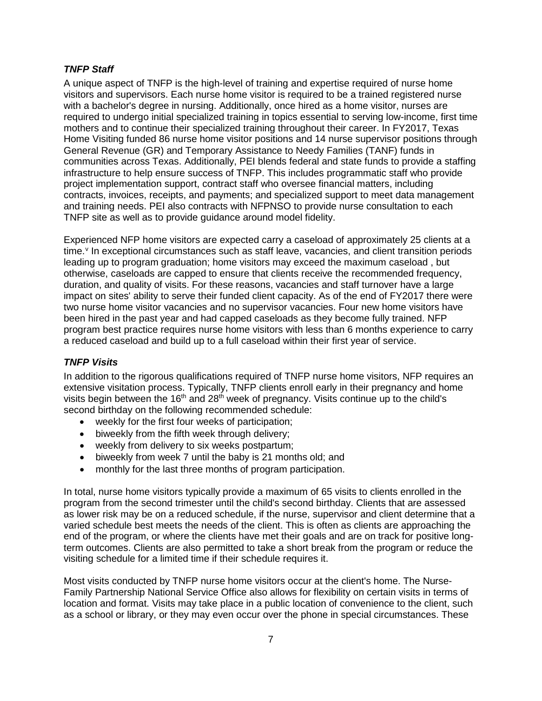#### <span id="page-8-0"></span>*TNFP Staff*

A unique aspect of TNFP is the high-level of training and expertise required of nurse home visitors and supervisors. Each nurse home visitor is required to be a trained registered nurse with a bachelor's degree in nursing. Additionally, once hired as a home visitor, nurses are required to undergo initial specialized training in topics essential to serving low-income, first time mothers and to continue their specialized training throughout their career. In FY2017, Texas Home Visiting funded 86 nurse home visitor positions and 14 nurse supervisor positions through General Revenue (GR) and Temporary Assistance to Needy Families (TANF) funds in communities across Texas. Additionally, PEI blends federal and state funds to provide a staffing infrastructure to help ensure success of TNFP. This includes programmatic staff who provide project implementation support, contract staff who oversee financial matters, including contracts, invoices, receipts, and payments; and specialized support to meet data management and training needs. PEI also contracts with NFPNSO to provide nurse consultation to each TNFP site as well as to provide guidance around model fidelity.

Experienced NFP home visitors are expected carry a caseload of approximately 25 clients at a time. $\theta$  In exceptional circumstances such as staff lea[v](#page-27-5)e, vacancies, and client transition periods leading up to program graduation; home visitors may exceed the maximum caseload , but otherwise, caseloads are capped to ensure that clients receive the recommended frequency, duration, and quality of visits. For these reasons, vacancies and staff turnover have a large impact on sites' ability to serve their funded client capacity. As of the end of FY2017 there were two nurse home visitor vacancies and no supervisor vacancies. Four new home visitors have been hired in the past year and had capped caseloads as they become fully trained. NFP program best practice requires nurse home visitors with less than 6 months experience to carry a reduced caseload and build up to a full caseload within their first year of service.

#### <span id="page-8-1"></span>*TNFP Visits*

In addition to the rigorous qualifications required of TNFP nurse home visitors, NFP requires an extensive visitation process. Typically, TNFP clients enroll early in their pregnancy and home visits begin between the  $16<sup>th</sup>$  and  $28<sup>th</sup>$  week of pregnancy. Visits continue up to the child's second birthday on the following recommended schedule:

- weekly for the first four weeks of participation;
- biweekly from the fifth week through delivery;
- weekly from delivery to six weeks postpartum;
- biweekly from week 7 until the baby is 21 months old; and
- monthly for the last three months of program participation.

In total, nurse home visitors typically provide a maximum of 65 visits to clients enrolled in the program from the second trimester until the child's second birthday. Clients that are assessed as lower risk may be on a reduced schedule, if the nurse, supervisor and client determine that a varied schedule best meets the needs of the client. This is often as clients are approaching the end of the program, or where the clients have met their goals and are on track for positive longterm outcomes. Clients are also permitted to take a short break from the program or reduce the visiting schedule for a limited time if their schedule requires it.

Most visits conducted by TNFP nurse home visitors occur at the client's home. The Nurse-Family Partnership National Service Office also allows for flexibility on certain visits in terms of location and format. Visits may take place in a public location of convenience to the client, such as a school or library, or they may even occur over the phone in special circumstances. These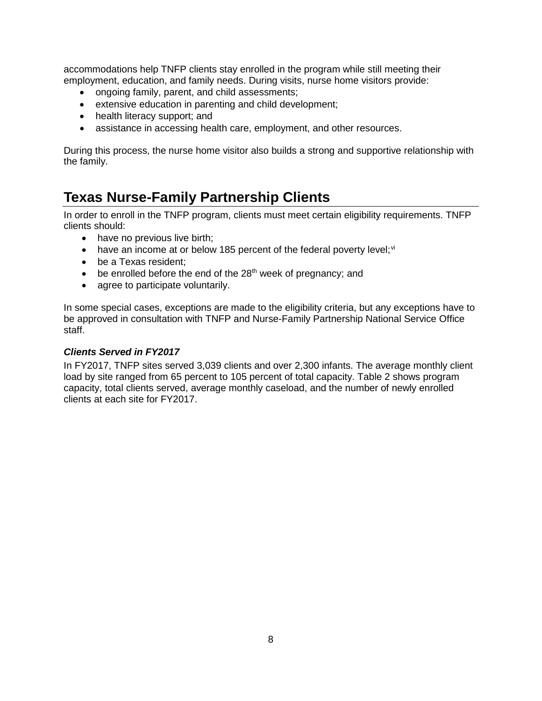accommodations help TNFP clients stay enrolled in the program while still meeting their employment, education, and family needs. During visits, nurse home visitors provide:

- ongoing family, parent, and child assessments;
- extensive education in parenting and child development;
- health literacy support; and
- assistance in accessing health care, employment, and other resources.

During this process, the nurse home visitor also builds a strong and supportive relationship with the family.

## <span id="page-9-0"></span>**Texas Nurse-Family Partnership Clients**

In order to enroll in the TNFP program, clients must meet certain eligibility requirements. TNFP clients should:

- have no previous live birth;
- have an income at or below 185 percent of the federal poverty level;  $vi$
- be a Texas resident;
- $\bullet$  be enrolled before the end of the 28<sup>th</sup> week of pregnancy; and
- agree to participate voluntarily.

In some special cases, exceptions are made to the eligibility criteria, but any exceptions have to be approved in consultation with TNFP and Nurse-Family Partnership National Service Office staff.

#### <span id="page-9-1"></span>*Clients Served in FY2017*

In FY2017, TNFP sites served 3,039 clients and over 2,300 infants. The average monthly client load by site ranged from 65 percent to 105 percent of total capacity. Table 2 shows program capacity, total clients served, average monthly caseload, and the number of newly enrolled clients at each site for FY2017.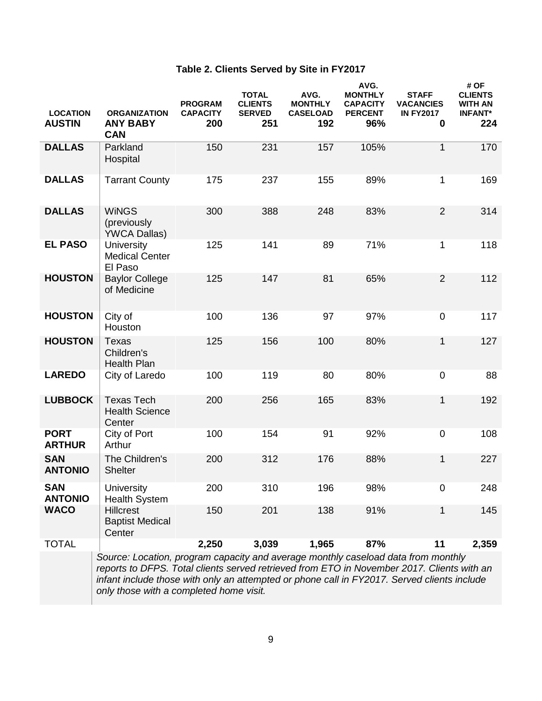### **Table 2. Clients Served by Site in FY2017**

<span id="page-10-0"></span>

| <b>LOCATION</b><br><b>AUSTIN</b> | <b>ORGANIZATION</b><br><b>ANY BABY</b><br><b>CAN</b>                                                                                                                                                                                                                           | <b>PROGRAM</b><br><b>CAPACITY</b><br>200 | <b>TOTAL</b><br><b>CLIENTS</b><br><b>SERVED</b><br>251 | AVG.<br><b>MONTHLY</b><br><b>CASELOAD</b><br>192 | AVG.<br><b>MONTHLY</b><br><b>CAPACITY</b><br><b>PERCENT</b><br>96% | <b>STAFF</b><br><b>VACANCIES</b><br><b>IN FY2017</b><br>0 | # OF<br><b>CLIENTS</b><br>WITH AN<br><b>INFANT*</b><br>224 |
|----------------------------------|--------------------------------------------------------------------------------------------------------------------------------------------------------------------------------------------------------------------------------------------------------------------------------|------------------------------------------|--------------------------------------------------------|--------------------------------------------------|--------------------------------------------------------------------|-----------------------------------------------------------|------------------------------------------------------------|
| <b>DALLAS</b>                    | Parkland<br>Hospital                                                                                                                                                                                                                                                           | 150                                      | 231                                                    | 157                                              | 105%                                                               | $\mathbf{1}$                                              | 170                                                        |
| <b>DALLAS</b>                    | <b>Tarrant County</b>                                                                                                                                                                                                                                                          | 175                                      | 237                                                    | 155                                              | 89%                                                                | 1                                                         | 169                                                        |
| <b>DALLAS</b>                    | <b>WINGS</b><br>(previously<br><b>YWCA Dallas)</b>                                                                                                                                                                                                                             | 300                                      | 388                                                    | 248                                              | 83%                                                                | $\overline{2}$                                            | 314                                                        |
| <b>EL PASO</b>                   | <b>University</b><br><b>Medical Center</b><br>El Paso                                                                                                                                                                                                                          | 125                                      | 141                                                    | 89                                               | 71%                                                                | 1                                                         | 118                                                        |
| <b>HOUSTON</b>                   | <b>Baylor College</b><br>of Medicine                                                                                                                                                                                                                                           | 125                                      | 147                                                    | 81                                               | 65%                                                                | $\overline{2}$                                            | 112                                                        |
| <b>HOUSTON</b>                   | City of<br>Houston                                                                                                                                                                                                                                                             | 100                                      | 136                                                    | 97                                               | 97%                                                                | $\pmb{0}$                                                 | 117                                                        |
| <b>HOUSTON</b>                   | <b>Texas</b><br>Children's<br><b>Health Plan</b>                                                                                                                                                                                                                               | 125                                      | 156                                                    | 100                                              | 80%                                                                | 1                                                         | 127                                                        |
| <b>LAREDO</b>                    | City of Laredo                                                                                                                                                                                                                                                                 | 100                                      | 119                                                    | 80                                               | 80%                                                                | $\pmb{0}$                                                 | 88                                                         |
| <b>LUBBOCK</b>                   | <b>Texas Tech</b><br><b>Health Science</b><br>Center                                                                                                                                                                                                                           | 200                                      | 256                                                    | 165                                              | 83%                                                                | $\mathbf 1$                                               | 192                                                        |
| <b>PORT</b><br><b>ARTHUR</b>     | City of Port<br>Arthur                                                                                                                                                                                                                                                         | 100                                      | 154                                                    | 91                                               | 92%                                                                | $\pmb{0}$                                                 | 108                                                        |
| <b>SAN</b><br><b>ANTONIO</b>     | The Children's<br><b>Shelter</b>                                                                                                                                                                                                                                               | 200                                      | 312                                                    | 176                                              | 88%                                                                | 1                                                         | 227                                                        |
| <b>SAN</b><br><b>ANTONIO</b>     | <b>University</b><br><b>Health System</b>                                                                                                                                                                                                                                      | 200                                      | 310                                                    | 196                                              | 98%                                                                | $\mathbf 0$                                               | 248                                                        |
| <b>WACO</b>                      | <b>Hillcrest</b><br><b>Baptist Medical</b><br>Center                                                                                                                                                                                                                           | 150                                      | 201                                                    | 138                                              | 91%                                                                | 1                                                         | 145                                                        |
| <b>TOTAL</b>                     |                                                                                                                                                                                                                                                                                | 2,250                                    | 3,039                                                  | 1,965                                            | 87%                                                                | 11                                                        | 2,359                                                      |
|                                  | Source: Location, program capacity and average monthly caseload data from monthly<br>reports to DFPS. Total clients served retrieved from ETO in November 2017. Clients with an<br>infant include those with only an attempted or phone call in FY2017. Served clients include |                                          |                                                        |                                                  |                                                                    |                                                           |                                                            |

*only those with a completed home visit.*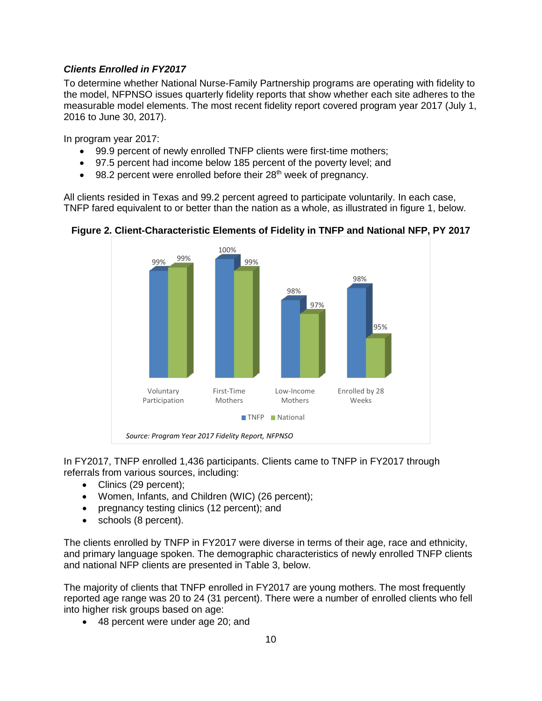#### <span id="page-11-0"></span>*Clients Enrolled in FY2017*

To determine whether National Nurse-Family Partnership programs are operating with fidelity to the model, NFPNSO issues quarterly fidelity reports that show whether each site adheres to the measurable model elements. The most recent fidelity report covered program year 2017 (July 1, 2016 to June 30, 2017).

In program year 2017:

- 99.9 percent of newly enrolled TNFP clients were first-time mothers;
- 97.5 percent had income below 185 percent of the poverty level; and
- $\bullet$  98.2 percent were enrolled before their 28<sup>th</sup> week of pregnancy.

All clients resided in Texas and 99.2 percent agreed to participate voluntarily. In each case, TNFP fared equivalent to or better than the nation as a whole, as illustrated in figure 1, below.



#### <span id="page-11-1"></span>**Figure 2. Client-Characteristic Elements of Fidelity in TNFP and National NFP, PY 2017**

In FY2017, TNFP enrolled 1,436 participants. Clients came to TNFP in FY2017 through referrals from various sources, including:

- Clinics (29 percent);
- Women, Infants, and Children (WIC) (26 percent);
- pregnancy testing clinics (12 percent); and
- schools (8 percent).

The clients enrolled by TNFP in FY2017 were diverse in terms of their age, race and ethnicity, and primary language spoken. The demographic characteristics of newly enrolled TNFP clients and national NFP clients are presented in Table 3, below.

The majority of clients that TNFP enrolled in FY2017 are young mothers. The most frequently reported age range was 20 to 24 (31 percent). There were a number of enrolled clients who fell into higher risk groups based on age:

• 48 percent were under age 20; and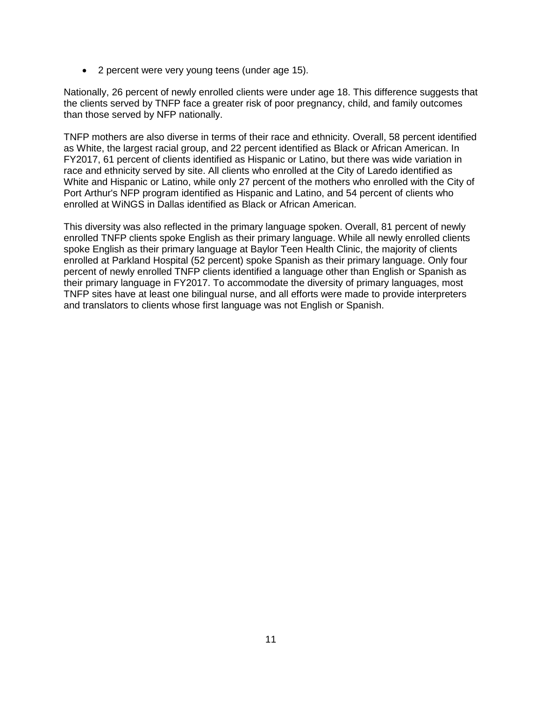• 2 percent were very young teens (under age 15).

Nationally, 26 percent of newly enrolled clients were under age 18. This difference suggests that the clients served by TNFP face a greater risk of poor pregnancy, child, and family outcomes than those served by NFP nationally.

TNFP mothers are also diverse in terms of their race and ethnicity. Overall, 58 percent identified as White, the largest racial group, and 22 percent identified as Black or African American. In FY2017, 61 percent of clients identified as Hispanic or Latino, but there was wide variation in race and ethnicity served by site. All clients who enrolled at the City of Laredo identified as White and Hispanic or Latino, while only 27 percent of the mothers who enrolled with the City of Port Arthur's NFP program identified as Hispanic and Latino, and 54 percent of clients who enrolled at WiNGS in Dallas identified as Black or African American.

This diversity was also reflected in the primary language spoken. Overall, 81 percent of newly enrolled TNFP clients spoke English as their primary language. While all newly enrolled clients spoke English as their primary language at Baylor Teen Health Clinic, the majority of clients enrolled at Parkland Hospital (52 percent) spoke Spanish as their primary language. Only four percent of newly enrolled TNFP clients identified a language other than English or Spanish as their primary language in FY2017. To accommodate the diversity of primary languages, most TNFP sites have at least one bilingual nurse, and all efforts were made to provide interpreters and translators to clients whose first language was not English or Spanish.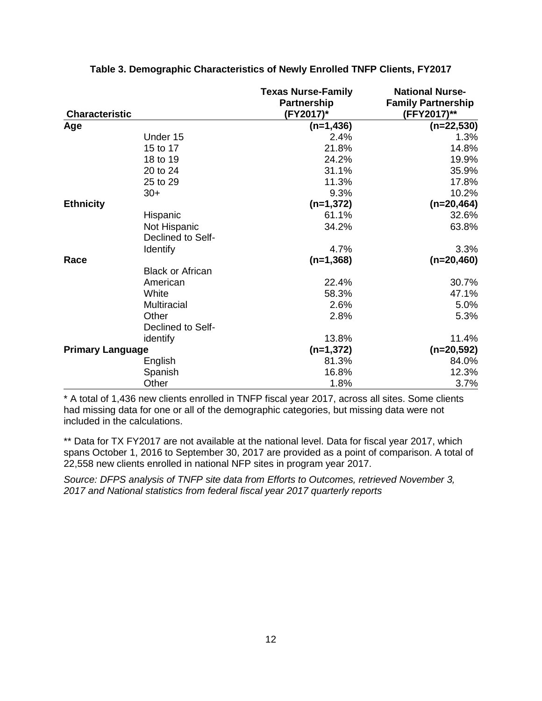<span id="page-13-0"></span>

| <b>Characteristic</b>   |                         | <b>Texas Nurse-Family</b><br><b>Partnership</b><br>(FY2017)* | <b>National Nurse-</b><br><b>Family Partnership</b><br>(FFY2017)** |
|-------------------------|-------------------------|--------------------------------------------------------------|--------------------------------------------------------------------|
| Age                     |                         | $(n=1,436)$                                                  | $(n=22,530)$                                                       |
|                         | Under 15                | 2.4%                                                         | 1.3%                                                               |
|                         | 15 to 17                | 21.8%                                                        | 14.8%                                                              |
|                         | 18 to 19                | 24.2%                                                        | 19.9%                                                              |
|                         | 20 to 24                | 31.1%                                                        | 35.9%                                                              |
|                         | 25 to 29                | 11.3%                                                        | 17.8%                                                              |
|                         | $30+$                   | 9.3%                                                         | 10.2%                                                              |
| <b>Ethnicity</b>        |                         | $(n=1,372)$                                                  | $(n=20, 464)$                                                      |
|                         | Hispanic                | 61.1%                                                        | 32.6%                                                              |
|                         | Not Hispanic            | 34.2%                                                        | 63.8%                                                              |
|                         | Declined to Self-       |                                                              |                                                                    |
|                         | <b>Identify</b>         | 4.7%                                                         | 3.3%                                                               |
| Race                    |                         | $(n=1,368)$                                                  | $(n=20,460)$                                                       |
|                         | <b>Black or African</b> |                                                              |                                                                    |
|                         | American                | 22.4%                                                        | 30.7%                                                              |
|                         | White                   | 58.3%                                                        | 47.1%                                                              |
|                         | <b>Multiracial</b>      | 2.6%                                                         | 5.0%                                                               |
|                         | Other                   | 2.8%                                                         | 5.3%                                                               |
|                         | Declined to Self-       |                                                              |                                                                    |
|                         | identify                | 13.8%                                                        | 11.4%                                                              |
| <b>Primary Language</b> |                         | $(n=1,372)$                                                  | $(n=20,592)$                                                       |
|                         | English                 | 81.3%                                                        | 84.0%                                                              |
|                         | Spanish                 | 16.8%                                                        | 12.3%                                                              |
|                         | Other                   | 1.8%                                                         | 3.7%                                                               |

#### **Table 3. Demographic Characteristics of Newly Enrolled TNFP Clients, FY2017**

\* A total of 1,436 new clients enrolled in TNFP fiscal year 2017, across all sites. Some clients had missing data for one or all of the demographic categories, but missing data were not included in the calculations.

\*\* Data for TX FY2017 are not available at the national level. Data for fiscal year 2017, which spans October 1, 2016 to September 30, 2017 are provided as a point of comparison. A total of 22,558 new clients enrolled in national NFP sites in program year 2017.

*Source: DFPS analysis of TNFP site data from Efforts to Outcomes, retrieved November 3, 2017 and National statistics from federal fiscal year 2017 quarterly reports*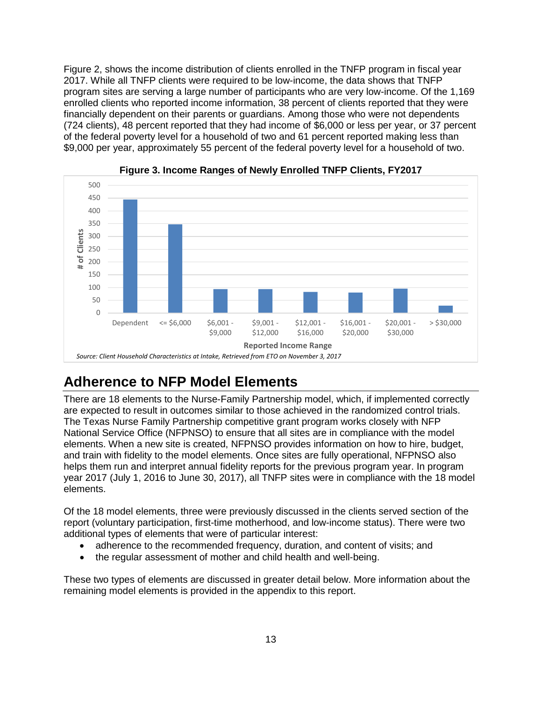Figure 2, shows the income distribution of clients enrolled in the TNFP program in fiscal year 2017. While all TNFP clients were required to be low-income, the data shows that TNFP program sites are serving a large number of participants who are very low-income. Of the 1,169 enrolled clients who reported income information, 38 percent of clients reported that they were financially dependent on their parents or guardians. Among those who were not dependents (724 clients), 48 percent reported that they had income of \$6,000 or less per year, or 37 percent of the federal poverty level for a household of two and 61 percent reported making less than \$9,000 per year, approximately 55 percent of the federal poverty level for a household of two.

<span id="page-14-1"></span>



## <span id="page-14-0"></span>**Adherence to NFP Model Elements**

There are 18 elements to the Nurse-Family Partnership model, which, if implemented correctly are expected to result in outcomes similar to those achieved in the randomized control trials. The Texas Nurse Family Partnership competitive grant program works closely with NFP National Service Office (NFPNSO) to ensure that all sites are in compliance with the model elements. When a new site is created, NFPNSO provides information on how to hire, budget, and train with fidelity to the model elements. Once sites are fully operational, NFPNSO also helps them run and interpret annual fidelity reports for the previous program year. In program year 2017 (July 1, 2016 to June 30, 2017), all TNFP sites were in compliance with the 18 model elements.

Of the 18 model elements, three were previously discussed in the clients served section of the report (voluntary participation, first-time motherhood, and low-income status). There were two additional types of elements that were of particular interest:

- adherence to the recommended frequency, duration, and content of visits; and
- the regular assessment of mother and child health and well-being.

These two types of elements are discussed in greater detail below. More information about the remaining model elements is provided in the appendix to this report.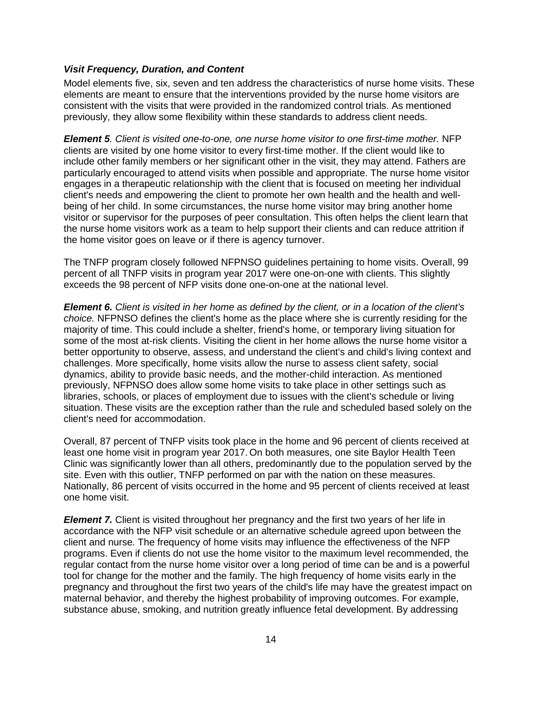#### <span id="page-15-0"></span>*Visit Frequency, Duration, and Content*

Model elements five, six, seven and ten address the characteristics of nurse home visits. These elements are meant to ensure that the interventions provided by the nurse home visitors are consistent with the visits that were provided in the randomized control trials. As mentioned previously, they allow some flexibility within these standards to address client needs.

*Element 5. Client is visited one-to-one, one nurse home visitor to one first-time mother.* NFP clients are visited by one home visitor to every first-time mother. If the client would like to include other family members or her significant other in the visit, they may attend. Fathers are particularly encouraged to attend visits when possible and appropriate. The nurse home visitor engages in a therapeutic relationship with the client that is focused on meeting her individual client's needs and empowering the client to promote her own health and the health and wellbeing of her child. In some circumstances, the nurse home visitor may bring another home visitor or supervisor for the purposes of peer consultation. This often helps the client learn that the nurse home visitors work as a team to help support their clients and can reduce attrition if the home visitor goes on leave or if there is agency turnover.

The TNFP program closely followed NFPNSO guidelines pertaining to home visits. Overall, 99 percent of all TNFP visits in program year 2017 were one-on-one with clients. This slightly exceeds the 98 percent of NFP visits done one-on-one at the national level.

*Element 6. Client is visited in her home as defined by the client, or in a location of the client's choice.* NFPNSO defines the client's home as the place where she is currently residing for the majority of time. This could include a shelter, friend's home, or temporary living situation for some of the most at-risk clients. Visiting the client in her home allows the nurse home visitor a better opportunity to observe, assess, and understand the client's and child's living context and challenges. More specifically, home visits allow the nurse to assess client safety, social dynamics, ability to provide basic needs, and the mother-child interaction. As mentioned previously, NFPNSO does allow some home visits to take place in other settings such as libraries, schools, or places of employment due to issues with the client's schedule or living situation. These visits are the exception rather than the rule and scheduled based solely on the client's need for accommodation.

Overall, 87 percent of TNFP visits took place in the home and 96 percent of clients received at least one home visit in program year 2017. On both measures, one site Baylor Health Teen Clinic was significantly lower than all others, predominantly due to the population served by the site. Even with this outlier, TNFP performed on par with the nation on these measures. Nationally, 86 percent of visits occurred in the home and 95 percent of clients received at least one home visit.

*Element 7.* Client is visited throughout her pregnancy and the first two years of her life in accordance with the NFP visit schedule or an alternative schedule agreed upon between the client and nurse*.* The frequency of home visits may influence the effectiveness of the NFP programs. Even if clients do not use the home visitor to the maximum level recommended, the regular contact from the nurse home visitor over a long period of time can be and is a powerful tool for change for the mother and the family. The high frequency of home visits early in the pregnancy and throughout the first two years of the child's life may have the greatest impact on maternal behavior, and thereby the highest probability of improving outcomes. For example, substance abuse, smoking, and nutrition greatly influence fetal development. By addressing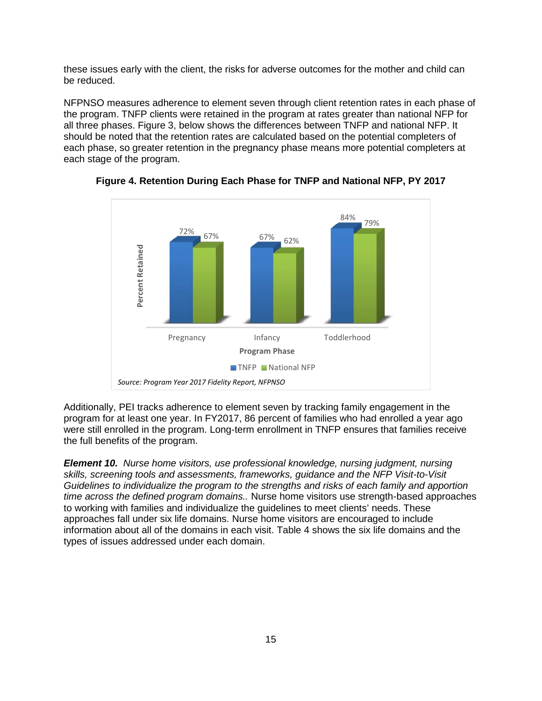these issues early with the client, the risks for adverse outcomes for the mother and child can be reduced.

NFPNSO measures adherence to element seven through client retention rates in each phase of the program. TNFP clients were retained in the program at rates greater than national NFP for all three phases. Figure 3, below shows the differences between TNFP and national NFP. It should be noted that the retention rates are calculated based on the potential completers of each phase, so greater retention in the pregnancy phase means more potential completers at each stage of the program.



<span id="page-16-0"></span>**Figure 4. Retention During Each Phase for TNFP and National NFP, PY 2017**

Additionally, PEI tracks adherence to element seven by tracking family engagement in the program for at least one year. In FY2017, 86 percent of families who had enrolled a year ago were still enrolled in the program. Long-term enrollment in TNFP ensures that families receive the full benefits of the program.

*Element 10. Nurse home visitors, use professional knowledge, nursing judgment, nursing skills, screening tools and assessments, frameworks, guidance and the NFP Visit-to-Visit Guidelines to individualize the program to the strengths and risks of each family and apportion time across the defined program domains..* Nurse home visitors use strength-based approaches to working with families and individualize the guidelines to meet clients' needs. These approaches fall under six life domains. Nurse home visitors are encouraged to include information about all of the domains in each visit. Table 4 shows the six life domains and the types of issues addressed under each domain.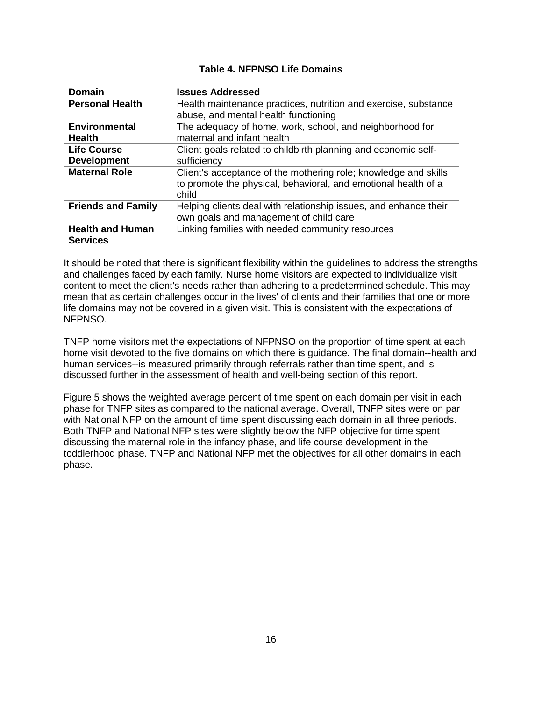<span id="page-17-0"></span>

| <b>Domain</b>                              | <b>Issues Addressed</b>                                                                                                                    |
|--------------------------------------------|--------------------------------------------------------------------------------------------------------------------------------------------|
| <b>Personal Health</b>                     | Health maintenance practices, nutrition and exercise, substance<br>abuse, and mental health functioning                                    |
| <b>Environmental</b><br><b>Health</b>      | The adequacy of home, work, school, and neighborhood for<br>maternal and infant health                                                     |
| <b>Life Course</b><br><b>Development</b>   | Client goals related to childbirth planning and economic self-<br>sufficiency                                                              |
| <b>Maternal Role</b>                       | Client's acceptance of the mothering role; knowledge and skills<br>to promote the physical, behavioral, and emotional health of a<br>child |
| <b>Friends and Family</b>                  | Helping clients deal with relationship issues, and enhance their<br>own goals and management of child care                                 |
| <b>Health and Human</b><br><b>Services</b> | Linking families with needed community resources                                                                                           |

#### **Table 4. NFPNSO Life Domains**

It should be noted that there is significant flexibility within the guidelines to address the strengths and challenges faced by each family. Nurse home visitors are expected to individualize visit content to meet the client's needs rather than adhering to a predetermined schedule. This may mean that as certain challenges occur in the lives' of clients and their families that one or more life domains may not be covered in a given visit. This is consistent with the expectations of NFPNSO.

TNFP home visitors met the expectations of NFPNSO on the proportion of time spent at each home visit devoted to the five domains on which there is guidance. The final domain--health and human services--is measured primarily through referrals rather than time spent, and is discussed further in the assessment of health and well-being section of this report.

Figure 5 shows the weighted average percent of time spent on each domain per visit in each phase for TNFP sites as compared to the national average. Overall, TNFP sites were on par with National NFP on the amount of time spent discussing each domain in all three periods. Both TNFP and National NFP sites were slightly below the NFP objective for time spent discussing the maternal role in the infancy phase, and life course development in the toddlerhood phase. TNFP and National NFP met the objectives for all other domains in each phase.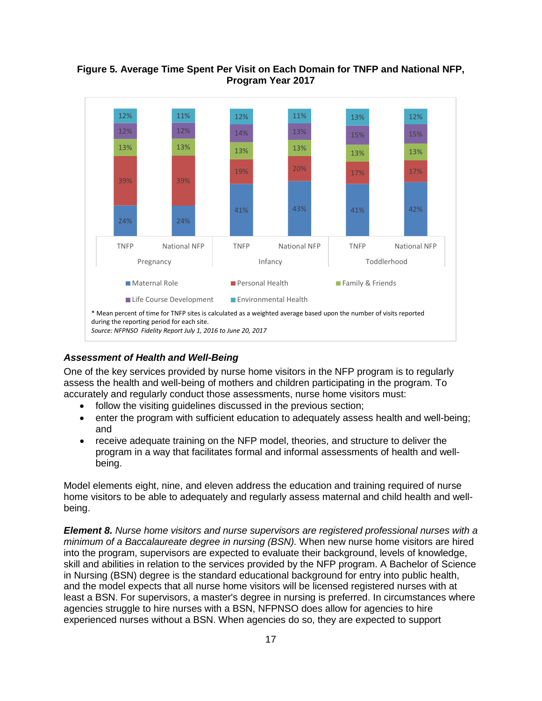

#### <span id="page-18-1"></span>**Figure 5. Average Time Spent Per Visit on Each Domain for TNFP and National NFP, Program Year 2017**

#### <span id="page-18-0"></span>*Assessment of Health and Well-Being*

One of the key services provided by nurse home visitors in the NFP program is to regularly assess the health and well-being of mothers and children participating in the program. To accurately and regularly conduct those assessments, nurse home visitors must:

- follow the visiting quidelines discussed in the previous section;
- enter the program with sufficient education to adequately assess health and well-being; and
- receive adequate training on the NFP model, theories, and structure to deliver the program in a way that facilitates formal and informal assessments of health and wellbeing.

Model elements eight, nine, and eleven address the education and training required of nurse home visitors to be able to adequately and regularly assess maternal and child health and wellbeing.

*Element 8. Nurse home visitors and nurse supervisors are registered professional nurses with a minimum of a Baccalaureate degree in nursing (BSN).* When new nurse home visitors are hired into the program, supervisors are expected to evaluate their background, levels of knowledge, skill and abilities in relation to the services provided by the NFP program. A Bachelor of Science in Nursing (BSN) degree is the standard educational background for entry into public health, and the model expects that all nurse home visitors will be licensed registered nurses with at least a BSN. For supervisors, a master's degree in nursing is preferred. In circumstances where agencies struggle to hire nurses with a BSN, NFPNSO does allow for agencies to hire experienced nurses without a BSN. When agencies do so, they are expected to support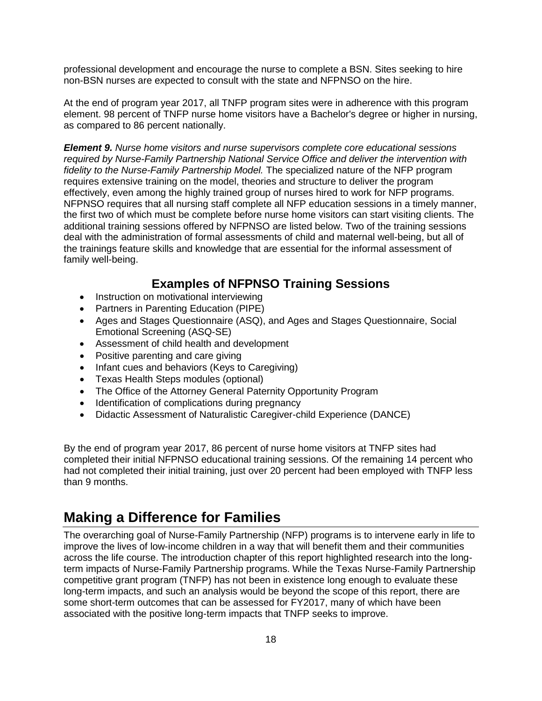professional development and encourage the nurse to complete a BSN. Sites seeking to hire non-BSN nurses are expected to consult with the state and NFPNSO on the hire.

At the end of program year 2017, all TNFP program sites were in adherence with this program element. 98 percent of TNFP nurse home visitors have a Bachelor's degree or higher in nursing, as compared to 86 percent nationally.

*Element 9. Nurse home visitors and nurse supervisors complete core educational sessions required by Nurse-Family Partnership National Service Office and deliver the intervention with fidelity to the Nurse-Family Partnership Model.* The specialized nature of the NFP program requires extensive training on the model, theories and structure to deliver the program effectively, even among the highly trained group of nurses hired to work for NFP programs. NFPNSO requires that all nursing staff complete all NFP education sessions in a timely manner, the first two of which must be complete before nurse home visitors can start visiting clients. The additional training sessions offered by NFPNSO are listed below. Two of the training sessions deal with the administration of formal assessments of child and maternal well-being, but all of the trainings feature skills and knowledge that are essential for the informal assessment of family well-being.

### **Examples of NFPNSO Training Sessions**

- Instruction on motivational interviewing
- Partners in Parenting Education (PIPE)
- Ages and Stages Questionnaire (ASQ), and Ages and Stages Questionnaire, Social Emotional Screening (ASQ-SE)
- Assessment of child health and development
- Positive parenting and care giving
- Infant cues and behaviors (Keys to Caregiving)
- Texas Health Steps modules (optional)
- The Office of the Attorney General Paternity Opportunity Program
- Identification of complications during pregnancy
- Didactic Assessment of Naturalistic Caregiver-child Experience (DANCE)

By the end of program year 2017, 86 percent of nurse home visitors at TNFP sites had completed their initial NFPNSO educational training sessions. Of the remaining 14 percent who had not completed their initial training, just over 20 percent had been employed with TNFP less than 9 months.

## <span id="page-19-0"></span>**Making a Difference for Families**

The overarching goal of Nurse-Family Partnership (NFP) programs is to intervene early in life to improve the lives of low-income children in a way that will benefit them and their communities across the life course. The introduction chapter of this report highlighted research into the longterm impacts of Nurse-Family Partnership programs. While the Texas Nurse-Family Partnership competitive grant program (TNFP) has not been in existence long enough to evaluate these long-term impacts, and such an analysis would be beyond the scope of this report, there are some short-term outcomes that can be assessed for FY2017, many of which have been associated with the positive long-term impacts that TNFP seeks to improve.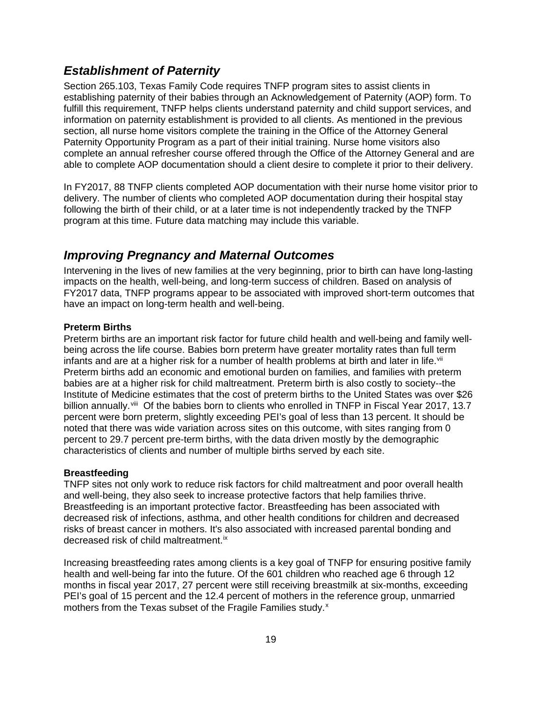### <span id="page-20-0"></span>*Establishment of Paternity*

Section 265.103, Texas Family Code requires TNFP program sites to assist clients in establishing paternity of their babies through an Acknowledgement of Paternity (AOP) form. To fulfill this requirement, TNFP helps clients understand paternity and child support services, and information on paternity establishment is provided to all clients. As mentioned in the previous section, all nurse home visitors complete the training in the Office of the Attorney General Paternity Opportunity Program as a part of their initial training. Nurse home visitors also complete an annual refresher course offered through the Office of the Attorney General and are able to complete AOP documentation should a client desire to complete it prior to their delivery.

In FY2017, 88 TNFP clients completed AOP documentation with their nurse home visitor prior to delivery. The number of clients who completed AOP documentation during their hospital stay following the birth of their child, or at a later time is not independently tracked by the TNFP program at this time. Future data matching may include this variable.

### <span id="page-20-1"></span>*Improving Pregnancy and Maternal Outcomes*

Intervening in the lives of new families at the very beginning, prior to birth can have long-lasting impacts on the health, well-being, and long-term success of children. Based on analysis of FY2017 data, TNFP programs appear to be associated with improved short-term outcomes that have an impact on long-term health and well-being.

#### **Preterm Births**

Preterm births are an important risk factor for future child health and well-being and family wellbeing across the life course. Babies born preterm have greater mortality rates than full term infants and are at a higher risk for a number of health problems at birth and later in life.<sup>[vii](#page-27-7)</sup> Preterm births add an economic and emotional burden on families, and families with preterm babies are at a higher risk for child maltreatment. Preterm birth is also costly to society--the Institute of Medicine estimates that the cost of preterm births to the United States was over \$26 billion annually.<sup>[viii](#page-27-8)</sup> Of the babies born to clients who enrolled in TNFP in Fiscal Year 2017, 13.7 percent were born preterm, slightly exceeding PEI's goal of less than 13 percent. It should be noted that there was wide variation across sites on this outcome, with sites ranging from 0 percent to 29.7 percent pre-term births, with the data driven mostly by the demographic characteristics of clients and number of multiple births served by each site.

#### **Breastfeeding**

TNFP sites not only work to reduce risk factors for child maltreatment and poor overall health and well-being, they also seek to increase protective factors that help families thrive. Breastfeeding is an important protective factor. Breastfeeding has been associated with decreased risk of infections, asthma, and other health conditions for children and decreased risks of breast cancer in mothers. It's also associated with increased parental bonding and decreased risk of child maltreatment.<sup>[ix](#page-27-9)</sup>

Increasing breastfeeding rates among clients is a key goal of TNFP for ensuring positive family health and well-being far into the future. Of the 601 children who reached age 6 through 12 months in fiscal year 2017, 27 percent were still receiving breastmilk at six-months, exceeding PEI's goal of 15 percent and the 12.4 percent of mothers in the reference group, unmarried mothers from the Te[x](#page-27-10)as subset of the Fragile Families study.<sup>x</sup>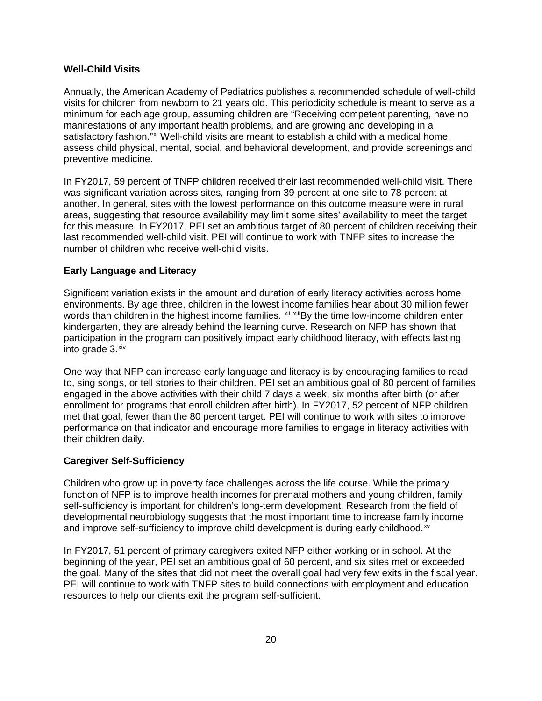#### **Well-Child Visits**

Annually, the American Academy of Pediatrics publishes a recommended schedule of well-child visits for children from newborn to 21 years old. This periodicity schedule is meant to serve as a minimum for each age group, assuming children are "Receiving competent parenting, have no manifestations of any important health problems, and are growing and developing in a satisfactory fashion."<sup>[xi](#page-27-11)</sup> Well-child visits are meant to establish a child with a medical home, assess child physical, mental, social, and behavioral development, and provide screenings and preventive medicine.

In FY2017, 59 percent of TNFP children received their last recommended well-child visit. There was significant variation across sites, ranging from 39 percent at one site to 78 percent at another. In general, sites with the lowest performance on this outcome measure were in rural areas, suggesting that resource availability may limit some sites' availability to meet the target for this measure. In FY2017, PEI set an ambitious target of 80 percent of children receiving their last recommended well-child visit. PEI will continue to work with TNFP sites to increase the number of children who receive well-child visits.

#### **Early Language and Literacy**

Significant variation exists in the amount and duration of early literacy activities across home environments. By age three, children in the lowest income families hear about 30 million fewer words than children in the highest income families. <sup>[xii](#page-27-12) [xiii](#page-27-13)</sup>By the time low-income children enter kindergarten, they are already behind the learning curve. Research on NFP has shown that participation in the program can positively impact early childhood literacy, with effects lasting into grade  $3.^{\text{xiv}}$  $3.^{\text{xiv}}$  $3.^{\text{xiv}}$ 

One way that NFP can increase early language and literacy is by encouraging families to read to, sing songs, or tell stories to their children. PEI set an ambitious goal of 80 percent of families engaged in the above activities with their child 7 days a week, six months after birth (or after enrollment for programs that enroll children after birth). In FY2017, 52 percent of NFP children met that goal, fewer than the 80 percent target. PEI will continue to work with sites to improve performance on that indicator and encourage more families to engage in literacy activities with their children daily.

#### **Caregiver Self-Sufficiency**

Children who grow up in poverty face challenges across the life course. While the primary function of NFP is to improve health incomes for prenatal mothers and young children, family self-sufficiency is important for children's long-term development. Research from the field of developmental neurobiology suggests that the most important time to increase family income and improve self-sufficiency to improve child development is during early childhood.<sup>[xv](#page-27-15)</sup>

In FY2017, 51 percent of primary caregivers exited NFP either working or in school. At the beginning of the year, PEI set an ambitious goal of 60 percent, and six sites met or exceeded the goal. Many of the sites that did not meet the overall goal had very few exits in the fiscal year. PEI will continue to work with TNFP sites to build connections with employment and education resources to help our clients exit the program self-sufficient.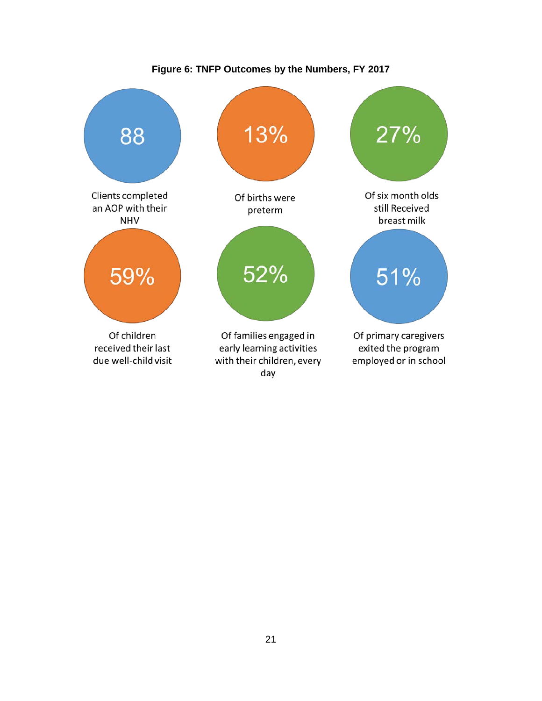<span id="page-22-0"></span>

**Figure 6: TNFP Outcomes by the Numbers, FY 2017**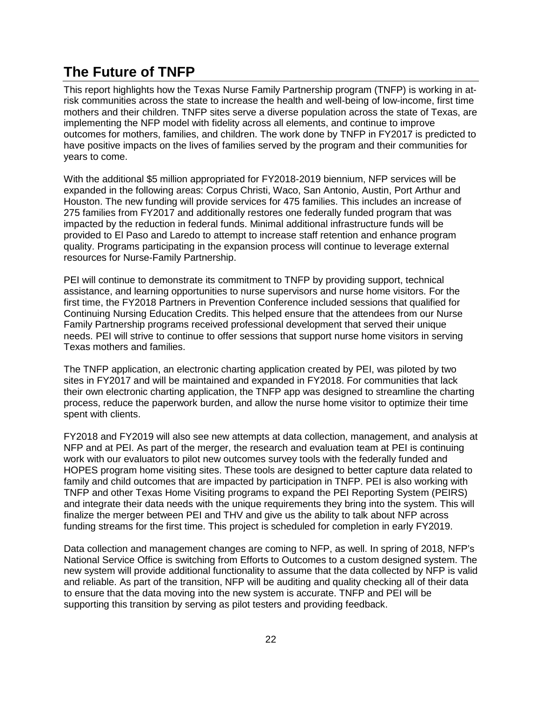## <span id="page-23-0"></span>**The Future of TNFP**

This report highlights how the Texas Nurse Family Partnership program (TNFP) is working in atrisk communities across the state to increase the health and well-being of low-income, first time mothers and their children. TNFP sites serve a diverse population across the state of Texas, are implementing the NFP model with fidelity across all elements, and continue to improve outcomes for mothers, families, and children. The work done by TNFP in FY2017 is predicted to have positive impacts on the lives of families served by the program and their communities for years to come.

With the additional \$5 million appropriated for FY2018-2019 biennium, NFP services will be expanded in the following areas: Corpus Christi, Waco, San Antonio, Austin, Port Arthur and Houston. The new funding will provide services for 475 families. This includes an increase of 275 families from FY2017 and additionally restores one federally funded program that was impacted by the reduction in federal funds. Minimal additional infrastructure funds will be provided to El Paso and Laredo to attempt to increase staff retention and enhance program quality. Programs participating in the expansion process will continue to leverage external resources for Nurse-Family Partnership.

PEI will continue to demonstrate its commitment to TNFP by providing support, technical assistance, and learning opportunities to nurse supervisors and nurse home visitors. For the first time, the FY2018 Partners in Prevention Conference included sessions that qualified for Continuing Nursing Education Credits. This helped ensure that the attendees from our Nurse Family Partnership programs received professional development that served their unique needs. PEI will strive to continue to offer sessions that support nurse home visitors in serving Texas mothers and families.

The TNFP application, an electronic charting application created by PEI, was piloted by two sites in FY2017 and will be maintained and expanded in FY2018. For communities that lack their own electronic charting application, the TNFP app was designed to streamline the charting process, reduce the paperwork burden, and allow the nurse home visitor to optimize their time spent with clients.

FY2018 and FY2019 will also see new attempts at data collection, management, and analysis at NFP and at PEI. As part of the merger, the research and evaluation team at PEI is continuing work with our evaluators to pilot new outcomes survey tools with the federally funded and HOPES program home visiting sites. These tools are designed to better capture data related to family and child outcomes that are impacted by participation in TNFP. PEI is also working with TNFP and other Texas Home Visiting programs to expand the PEI Reporting System (PEIRS) and integrate their data needs with the unique requirements they bring into the system. This will finalize the merger between PEI and THV and give us the ability to talk about NFP across funding streams for the first time. This project is scheduled for completion in early FY2019.

Data collection and management changes are coming to NFP, as well. In spring of 2018, NFP's National Service Office is switching from Efforts to Outcomes to a custom designed system. The new system will provide additional functionality to assume that the data collected by NFP is valid and reliable. As part of the transition, NFP will be auditing and quality checking all of their data to ensure that the data moving into the new system is accurate. TNFP and PEI will be supporting this transition by serving as pilot testers and providing feedback.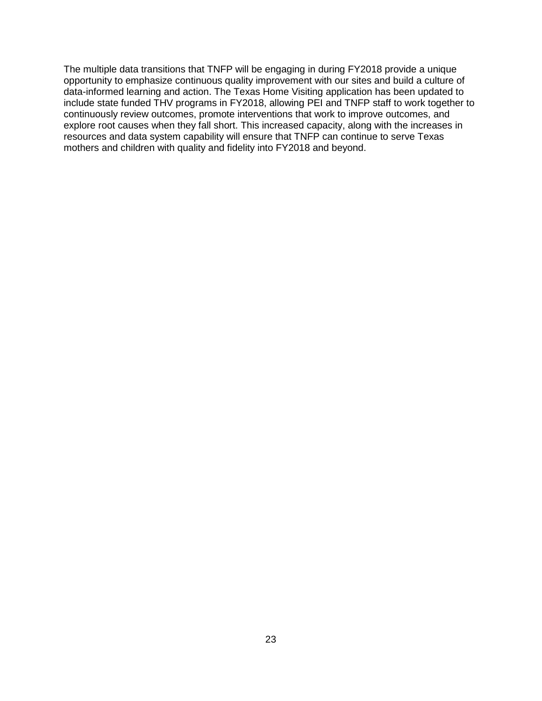The multiple data transitions that TNFP will be engaging in during FY2018 provide a unique opportunity to emphasize continuous quality improvement with our sites and build a culture of data-informed learning and action. The Texas Home Visiting application has been updated to include state funded THV programs in FY2018, allowing PEI and TNFP staff to work together to continuously review outcomes, promote interventions that work to improve outcomes, and explore root causes when they fall short. This increased capacity, along with the increases in resources and data system capability will ensure that TNFP can continue to serve Texas mothers and children with quality and fidelity into FY2018 and beyond.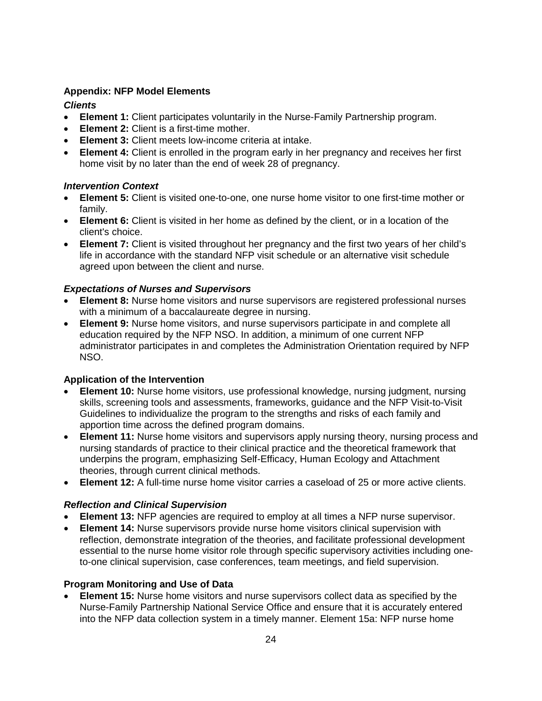#### <span id="page-25-0"></span>**Appendix: NFP Model Elements**

#### *Clients*

- **Element 1:** Client participates voluntarily in the Nurse-Family Partnership program.
- **Element 2:** Client is a first-time mother.
- **Element 3:** Client meets low-income criteria at intake.
- **Element 4:** Client is enrolled in the program early in her pregnancy and receives her first home visit by no later than the end of week 28 of pregnancy.

#### *Intervention Context*

- **Element 5:** Client is visited one-to-one, one nurse home visitor to one first-time mother or family.
- **Element 6:** Client is visited in her home as defined by the client, or in a location of the client's choice.
- **Element 7:** Client is visited throughout her pregnancy and the first two years of her child's life in accordance with the standard NFP visit schedule or an alternative visit schedule agreed upon between the client and nurse.

#### *Expectations of Nurses and Supervisors*

- **Element 8:** Nurse home visitors and nurse supervisors are registered professional nurses with a minimum of a baccalaureate degree in nursing.
- **Element 9:** Nurse home visitors, and nurse supervisors participate in and complete all education required by the NFP NSO. In addition, a minimum of one current NFP administrator participates in and completes the Administration Orientation required by NFP NSO.

#### **Application of the Intervention**

- **Element 10:** Nurse home visitors, use professional knowledge, nursing judgment, nursing skills, screening tools and assessments, frameworks, guidance and the NFP Visit-to-Visit Guidelines to individualize the program to the strengths and risks of each family and apportion time across the defined program domains.
- **Element 11:** Nurse home visitors and supervisors apply nursing theory, nursing process and nursing standards of practice to their clinical practice and the theoretical framework that underpins the program, emphasizing Self-Efficacy, Human Ecology and Attachment theories, through current clinical methods.
- **Element 12:** A full-time nurse home visitor carries a caseload of 25 or more active clients.

#### *Reflection and Clinical Supervision*

- **Element 13:** NFP agencies are required to employ at all times a NFP nurse supervisor.
- **Element 14:** Nurse supervisors provide nurse home visitors clinical supervision with reflection, demonstrate integration of the theories, and facilitate professional development essential to the nurse home visitor role through specific supervisory activities including oneto-one clinical supervision, case conferences, team meetings, and field supervision.

#### **Program Monitoring and Use of Data**

• **Element 15:** Nurse home visitors and nurse supervisors collect data as specified by the Nurse-Family Partnership National Service Office and ensure that it is accurately entered into the NFP data collection system in a timely manner. Element 15a: NFP nurse home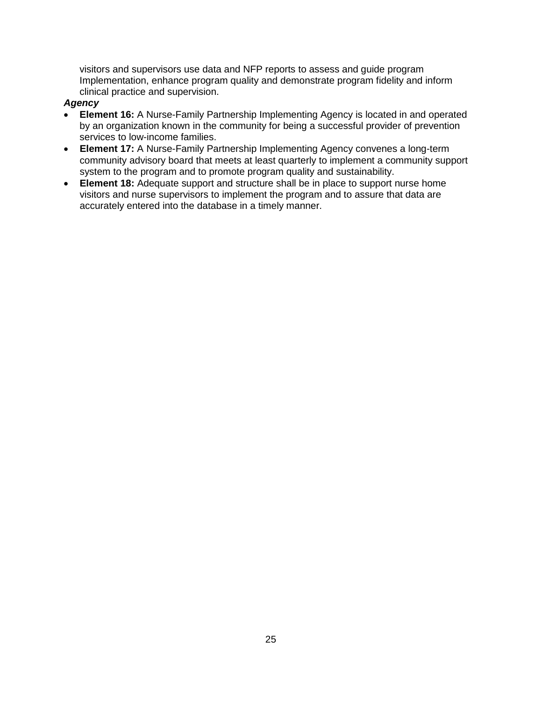visitors and supervisors use data and NFP reports to assess and guide program Implementation, enhance program quality and demonstrate program fidelity and inform clinical practice and supervision.

#### *Agency*

- **Element 16:** A Nurse-Family Partnership Implementing Agency is located in and operated by an organization known in the community for being a successful provider of prevention services to low-income families.
- **Element 17:** A Nurse-Family Partnership Implementing Agency convenes a long-term community advisory board that meets at least quarterly to implement a community support system to the program and to promote program quality and sustainability.
- **Element 18:** Adequate support and structure shall be in place to support nurse home visitors and nurse supervisors to implement the program and to assure that data are accurately entered into the database in a timely manner.